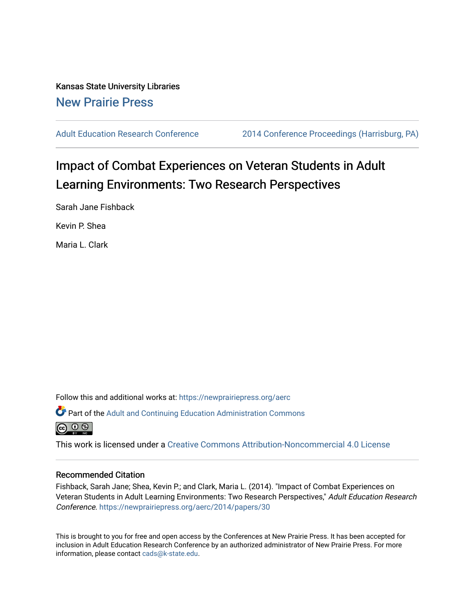Kansas State University Libraries [New Prairie Press](https://newprairiepress.org/) 

[Adult Education Research Conference](https://newprairiepress.org/aerc) [2014 Conference Proceedings \(Harrisburg, PA\)](https://newprairiepress.org/aerc/2014) 

# Impact of Combat Experiences on Veteran Students in Adult Learning Environments: Two Research Perspectives

Sarah Jane Fishback

Kevin P. Shea

Maria L. Clark

Follow this and additional works at: [https://newprairiepress.org/aerc](https://newprairiepress.org/aerc?utm_source=newprairiepress.org%2Faerc%2F2014%2Fpapers%2F30&utm_medium=PDF&utm_campaign=PDFCoverPages)

Part of the [Adult and Continuing Education Administration Commons](http://network.bepress.com/hgg/discipline/789?utm_source=newprairiepress.org%2Faerc%2F2014%2Fpapers%2F30&utm_medium=PDF&utm_campaign=PDFCoverPages)



This work is licensed under a [Creative Commons Attribution-Noncommercial 4.0 License](https://creativecommons.org/licenses/by-nc/4.0/)

#### Recommended Citation

Fishback, Sarah Jane; Shea, Kevin P.; and Clark, Maria L. (2014). "Impact of Combat Experiences on Veteran Students in Adult Learning Environments: Two Research Perspectives," Adult Education Research Conference.<https://newprairiepress.org/aerc/2014/papers/30>

This is brought to you for free and open access by the Conferences at New Prairie Press. It has been accepted for inclusion in Adult Education Research Conference by an authorized administrator of New Prairie Press. For more information, please contact [cads@k-state.edu](mailto:cads@k-state.edu).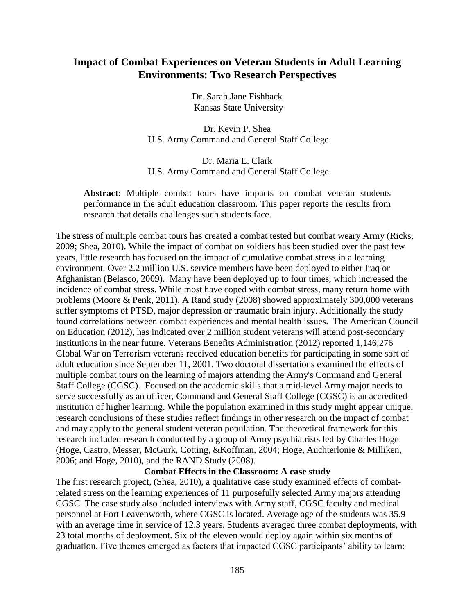# **Impact of Combat Experiences on Veteran Students in Adult Learning Environments: Two Research Perspectives**

Dr. Sarah Jane Fishback Kansas State University

Dr. Kevin P. Shea U.S. Army Command and General Staff College

Dr. Maria L. Clark U.S. Army Command and General Staff College

**Abstract**: Multiple combat tours have impacts on combat veteran students performance in the adult education classroom. This paper reports the results from research that details challenges such students face.

The stress of multiple combat tours has created a combat tested but combat weary Army (Ricks, 2009; Shea, 2010). While the impact of combat on soldiers has been studied over the past few years, little research has focused on the impact of cumulative combat stress in a learning environment. Over 2.2 million U.S. service members have been deployed to either Iraq or Afghanistan (Belasco, 2009). Many have been deployed up to four times, which increased the incidence of combat stress. While most have coped with combat stress, many return home with problems (Moore & Penk, 2011). A Rand study (2008) showed approximately 300,000 veterans suffer symptoms of PTSD, major depression or traumatic brain injury. Additionally the study found correlations between combat experiences and mental health issues. The American Council on Education (2012), has indicated over 2 million student veterans will attend post-secondary institutions in the near future. Veterans Benefits Administration (2012) reported 1,146,276 Global War on Terrorism veterans received education benefits for participating in some sort of adult education since September 11, 2001. Two doctoral dissertations examined the effects of multiple combat tours on the learning of majors attending the Army's Command and General Staff College (CGSC). Focused on the academic skills that a mid-level Army major needs to serve successfully as an officer, Command and General Staff College (CGSC) is an accredited institution of higher learning. While the population examined in this study might appear unique, research conclusions of these studies reflect findings in other research on the impact of combat and may apply to the general student veteran population. The theoretical framework for this research included research conducted by a group of Army psychiatrists led by Charles Hoge (Hoge, Castro, Messer, McGurk, Cotting, &Koffman, 2004; Hoge, Auchterlonie & Milliken, 2006; and Hoge, 2010), and the RAND Study (2008).

# **Combat Effects in the Classroom: A case study**

The first research project, (Shea, 2010), a qualitative case study examined effects of combatrelated stress on the learning experiences of 11 purposefully selected Army majors attending CGSC. The case study also included interviews with Army staff, CGSC faculty and medical personnel at Fort Leavenworth, where CGSC is located. Average age of the students was 35.9 with an average time in service of 12.3 years. Students averaged three combat deployments, with 23 total months of deployment. Six of the eleven would deploy again within six months of graduation. Five themes emerged as factors that impacted CGSC participants' ability to learn: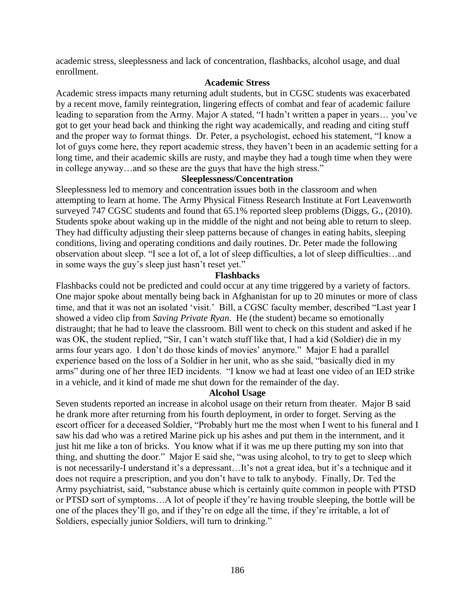academic stress, sleeplessness and lack of concentration, flashbacks, alcohol usage, and dual enrollment.

# **Academic Stress**

Academic stress impacts many returning adult students, but in CGSC students was exacerbated by a recent move, family reintegration, lingering effects of combat and fear of academic failure leading to separation from the Army. Major A stated, "I hadn't written a paper in years… you've got to get your head back and thinking the right way academically, and reading and citing stuff and the proper way to format things. Dr. Peter, a psychologist, echoed his statement, "I know a lot of guys come here, they report academic stress, they haven't been in an academic setting for a long time, and their academic skills are rusty, and maybe they had a tough time when they were in college anyway…and so these are the guys that have the high stress."

# **Sleeplessness/Concentration**

Sleeplessness led to memory and concentration issues both in the classroom and when attempting to learn at home. The Army Physical Fitness Research Institute at Fort Leavenworth surveyed 747 CGSC students and found that 65.1% reported sleep problems (Diggs, G., (2010). Students spoke about waking up in the middle of the night and not being able to return to sleep. They had difficulty adjusting their sleep patterns because of changes in eating habits, sleeping conditions, living and operating conditions and daily routines. Dr. Peter made the following observation about sleep. "I see a lot of, a lot of sleep difficulties, a lot of sleep difficulties…and in some ways the guy's sleep just hasn't reset yet."

#### **Flashbacks**

Flashbacks could not be predicted and could occur at any time triggered by a variety of factors. One major spoke about mentally being back in Afghanistan for up to 20 minutes or more of class time, and that it was not an isolated 'visit.' Bill, a CGSC faculty member, described "Last year I showed a video clip from *Saving Private Ryan*. He (the student) became so emotionally distraught; that he had to leave the classroom. Bill went to check on this student and asked if he was OK, the student replied, "Sir, I can't watch stuff like that, I had a kid (Soldier) die in my arms four years ago. I don't do those kinds of movies' anymore." Major E had a parallel experience based on the loss of a Soldier in her unit, who as she said, "basically died in my arms" during one of her three IED incidents. "I know we had at least one video of an IED strike in a vehicle, and it kind of made me shut down for the remainder of the day.

# **Alcohol Usage**

Seven students reported an increase in alcohol usage on their return from theater. Major B said he drank more after returning from his fourth deployment, in order to forget. Serving as the escort officer for a deceased Soldier, "Probably hurt me the most when I went to his funeral and I saw his dad who was a retired Marine pick up his ashes and put them in the internment, and it just hit me like a ton of bricks. You know what if it was me up there putting my son into that thing, and shutting the door." Major E said she, "was using alcohol, to try to get to sleep which is not necessarily-I understand it's a depressant…It's not a great idea, but it's a technique and it does not require a prescription, and you don't have to talk to anybody. Finally, Dr. Ted the Army psychiatrist, said, "substance abuse which is certainly quite common in people with PTSD or PTSD sort of symptoms…A lot of people if they're having trouble sleeping, the bottle will be one of the places they'll go, and if they're on edge all the time, if they're irritable, a lot of Soldiers, especially junior Soldiers, will turn to drinking."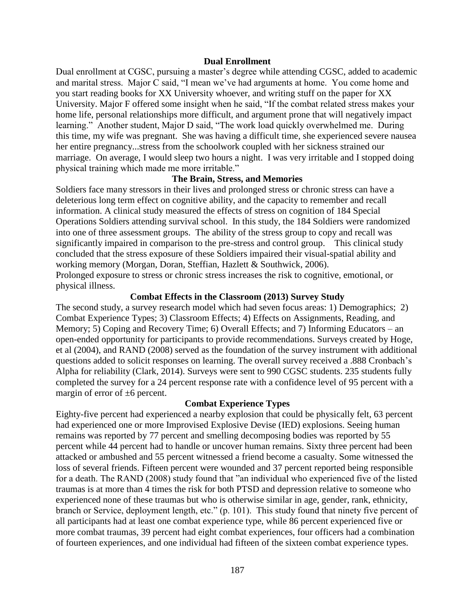#### **Dual Enrollment**

Dual enrollment at CGSC, pursuing a master's degree while attending CGSC, added to academic and marital stress. Major C said, "I mean we've had arguments at home. You come home and you start reading books for XX University whoever, and writing stuff on the paper for XX University. Major F offered some insight when he said, "If the combat related stress makes your home life, personal relationships more difficult, and argument prone that will negatively impact learning." Another student, Major D said, "The work load quickly overwhelmed me. During this time, my wife was pregnant. She was having a difficult time, she experienced severe nausea her entire pregnancy...stress from the schoolwork coupled with her sickness strained our marriage. On average, I would sleep two hours a night. I was very irritable and I stopped doing physical training which made me more irritable."

#### **The Brain, Stress, and Memories**

Soldiers face many stressors in their lives and prolonged stress or chronic stress can have a deleterious long term effect on cognitive ability, and the capacity to remember and recall information. A clinical study measured the effects of stress on cognition of 184 Special Operations Soldiers attending survival school. In this study, the 184 Soldiers were randomized into one of three assessment groups. The ability of the stress group to copy and recall was significantly impaired in comparison to the pre-stress and control group. This clinical study concluded that the stress exposure of these Soldiers impaired their visual-spatial ability and working memory (Morgan, Doran, Steffian, Hazlett & Southwick, 2006). Prolonged exposure to stress or chronic stress increases the risk to cognitive, emotional, or physical illness.

#### **Combat Effects in the Classroom (2013) Survey Study**

The second study, a survey research model which had seven focus areas: 1) Demographics; 2) Combat Experience Types; 3) Classroom Effects; 4) Effects on Assignments, Reading, and Memory; 5) Coping and Recovery Time; 6) Overall Effects; and 7) Informing Educators – an open-ended opportunity for participants to provide recommendations. Surveys created by Hoge, et al (2004), and RAND (2008) served as the foundation of the survey instrument with additional questions added to solicit responses on learning. The overall survey received a .888 Cronbach's Alpha for reliability (Clark, 2014). Surveys were sent to 990 CGSC students. 235 students fully completed the survey for a 24 percent response rate with a confidence level of 95 percent with a margin of error of  $\pm 6$  percent.

#### **Combat Experience Types**

Eighty-five percent had experienced a nearby explosion that could be physically felt, 63 percent had experienced one or more Improvised Explosive Devise (IED) explosions. Seeing human remains was reported by 77 percent and smelling decomposing bodies was reported by 55 percent while 44 percent had to handle or uncover human remains. Sixty three percent had been attacked or ambushed and 55 percent witnessed a friend become a casualty. Some witnessed the loss of several friends. Fifteen percent were wounded and 37 percent reported being responsible for a death. The RAND (2008) study found that "an individual who experienced five of the listed traumas is at more than 4 times the risk for both PTSD and depression relative to someone who experienced none of these traumas but who is otherwise similar in age, gender, rank, ethnicity, branch or Service, deployment length, etc." (p. 101). This study found that ninety five percent of all participants had at least one combat experience type, while 86 percent experienced five or more combat traumas, 39 percent had eight combat experiences, four officers had a combination of fourteen experiences, and one individual had fifteen of the sixteen combat experience types.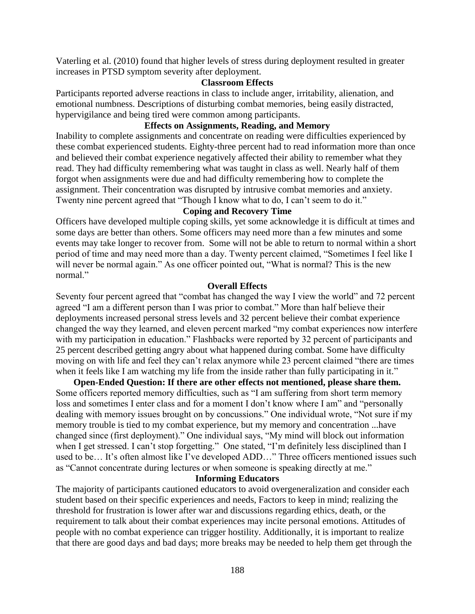Vaterling et al. (2010) found that higher levels of stress during deployment resulted in greater increases in PTSD symptom severity after deployment.

#### **Classroom Effects**

Participants reported adverse reactions in class to include anger, irritability, alienation, and emotional numbness. Descriptions of disturbing combat memories, being easily distracted, hypervigilance and being tired were common among participants.

# **Effects on Assignments, Reading, and Memory**

Inability to complete assignments and concentrate on reading were difficulties experienced by these combat experienced students. Eighty-three percent had to read information more than once and believed their combat experience negatively affected their ability to remember what they read. They had difficulty remembering what was taught in class as well. Nearly half of them forgot when assignments were due and had difficulty remembering how to complete the assignment. Their concentration was disrupted by intrusive combat memories and anxiety. Twenty nine percent agreed that "Though I know what to do, I can't seem to do it."

# **Coping and Recovery Time**

Officers have developed multiple coping skills, yet some acknowledge it is difficult at times and some days are better than others. Some officers may need more than a few minutes and some events may take longer to recover from. Some will not be able to return to normal within a short period of time and may need more than a day. Twenty percent claimed, "Sometimes I feel like I will never be normal again." As one officer pointed out, "What is normal? This is the new normal"

#### **Overall Effects**

Seventy four percent agreed that "combat has changed the way I view the world" and 72 percent agreed "I am a different person than I was prior to combat." More than half believe their deployments increased personal stress levels and 32 percent believe their combat experience changed the way they learned, and eleven percent marked "my combat experiences now interfere with my participation in education." Flashbacks were reported by 32 percent of participants and 25 percent described getting angry about what happened during combat. Some have difficulty moving on with life and feel they can't relax anymore while 23 percent claimed "there are times when it feels like I am watching my life from the inside rather than fully participating in it."

**Open-Ended Question: If there are other effects not mentioned, please share them.** Some officers reported memory difficulties, such as "I am suffering from short term memory loss and sometimes I enter class and for a moment I don't know where I am" and "personally dealing with memory issues brought on by concussions." One individual wrote, "Not sure if my memory trouble is tied to my combat experience, but my memory and concentration ...have changed since (first deployment)." One individual says, "My mind will block out information when I get stressed. I can't stop forgetting." One stated, "I'm definitely less disciplined than I used to be… It's often almost like I've developed ADD…" Three officers mentioned issues such as "Cannot concentrate during lectures or when someone is speaking directly at me."

#### **Informing Educators**

The majority of participants cautioned educators to avoid overgeneralization and consider each student based on their specific experiences and needs, Factors to keep in mind; realizing the threshold for frustration is lower after war and discussions regarding ethics, death, or the requirement to talk about their combat experiences may incite personal emotions. Attitudes of people with no combat experience can trigger hostility. Additionally, it is important to realize that there are good days and bad days; more breaks may be needed to help them get through the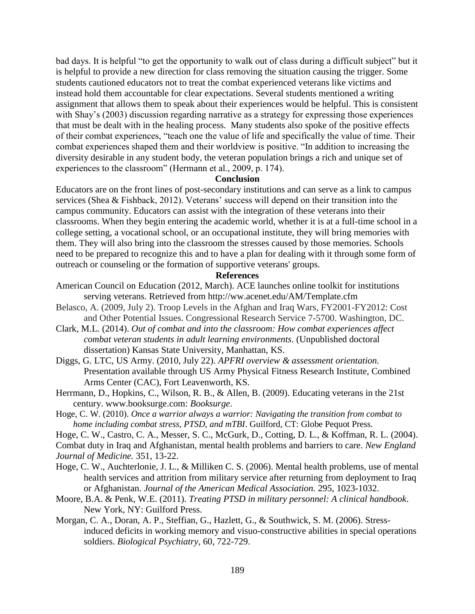bad days. It is helpful "to get the opportunity to walk out of class during a difficult subject" but it is helpful to provide a new direction for class removing the situation causing the trigger. Some students cautioned educators not to treat the combat experienced veterans like victims and instead hold them accountable for clear expectations. Several students mentioned a writing assignment that allows them to speak about their experiences would be helpful. This is consistent with Shay's (2003) discussion regarding narrative as a strategy for expressing those experiences that must be dealt with in the healing process. Many students also spoke of the positive effects of their combat experiences, "teach one the value of life and specifically the value of time. Their combat experiences shaped them and their worldview is positive. "In addition to increasing the diversity desirable in any student body, the veteran population brings a rich and unique set of experiences to the classroom" (Hermann et al., 2009, p. 174).

# **Conclusion**

Educators are on the front lines of post-secondary institutions and can serve as a link to campus services (Shea & Fishback, 2012). Veterans' success will depend on their transition into the campus community. Educators can assist with the integration of these veterans into their classrooms. When they begin entering the academic world, whether it is at a full-time school in a college setting, a vocational school, or an occupational institute, they will bring memories with them. They will also bring into the classroom the stresses caused by those memories. Schools need to be prepared to recognize this and to have a plan for dealing with it through some form of outreach or counseling or the formation of supportive veterans' groups.

#### **References**

- American Council on Education (2012, March). ACE launches online toolkit for institutions serving veterans. Retrieved from http://ww.acenet.edu/AM/Template.cfm
- Belasco, A. (2009, July 2). Troop Levels in the Afghan and Iraq Wars, FY2001-FY2012: Cost and Other Potential Issues. Congressional Research Service 7-5700. Washington, DC.
- Clark, M.L. (2014). *Out of combat and into the classroom: How combat experiences affect combat veteran students in adult learning environments*. (Unpublished doctoral dissertation) Kansas State University, Manhattan, KS.
- Diggs, G. LTC, US Army. (2010, July 22). *APFRI overview & assessment orientation.*  Presentation available through US Army Physical Fitness Research Institute, Combined Arms Center (CAC), Fort Leavenworth, KS.
- Herrmann, D., Hopkins, C., Wilson, R. B., & Allen, B. (2009). Educating veterans in the 21st century. www.booksurge.com: *Booksurge*.
- Hoge, C. W. (2010). *Once a warrior always a warrior: Navigating the transition from combat to home including combat stress, PTSD, and mTBI*. Guilford, CT: Globe Pequot Press.
- Hoge, C. W., Castro, C. A., Messer, S. C., McGurk, D., Cotting, D. L., & Koffman, R. L. (2004).
- Combat duty in Iraq and Afghanistan, mental health problems and barriers to care. *New England Journal of Medicine.* 351, 13-22.
- Hoge, C. W., Auchterlonie, J. L., & Milliken C. S. (2006). Mental health problems, use of mental health services and attrition from military service after returning from deployment to Iraq or Afghanistan. *Journal of the American Medical Association.* 295, 1023-1032.
- Moore, B.A. & Penk, W.E. (2011). *Treating PTSD in military personnel: A clinical handbook*. New York, NY: Guilford Press.
- Morgan, C. A., [Doran, A. P., Steffian, G.](http://www.refworks.com/Refworks/~0~), Hazlett, G., & Southwick, S. M. (2006). Stressinduced deficits in working memory and visuo-constructive abilities in special operations soldiers. *[Biological Psychiatry,](http://www.refworks.com/Refworks/~2~)* 60, 722-729.